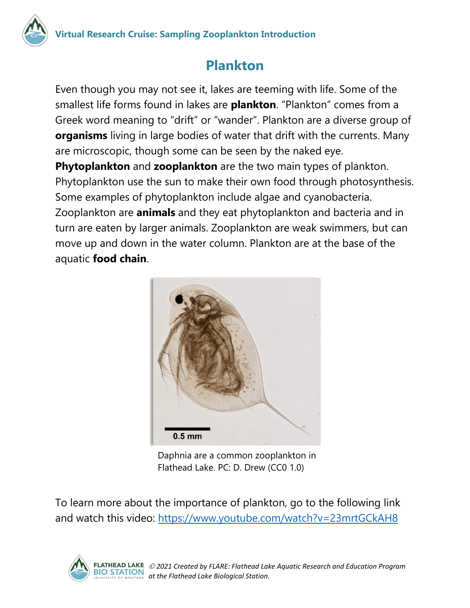

## **Plankton**

Even though you may not see it, lakes are teeming with life. Some of the smallest life forms found in lakes are **plankton**. "Plankton" comes from a Greek word meaning to "drift" or "wander". Plankton are a diverse group of **organisms** living in large bodies of water that drift with the currents. Many are microscopic, though some can be seen by the naked eye. **Phytoplankton** and **zooplankton** are the two main types of plankton. Phytoplankton use the sun to make their own food through photosynthesis.

Some examples of phytoplankton include algae and cyanobacteria. Zooplankton are **animals** and they eat phytoplankton and bacteria and in turn are eaten by larger animals. Zooplankton are weak swimmers, but can move up and down in the water column. Plankton are at the base of the aquatic **food chain**.



Daphnia are a common zooplankton in Flathead Lake. PC: D. Drew (CC0 1.0)

To learn more about the importance of plankton, go to the following link and watch this video:<https://www.youtube.com/watch?v=23mrtGCkAH8>